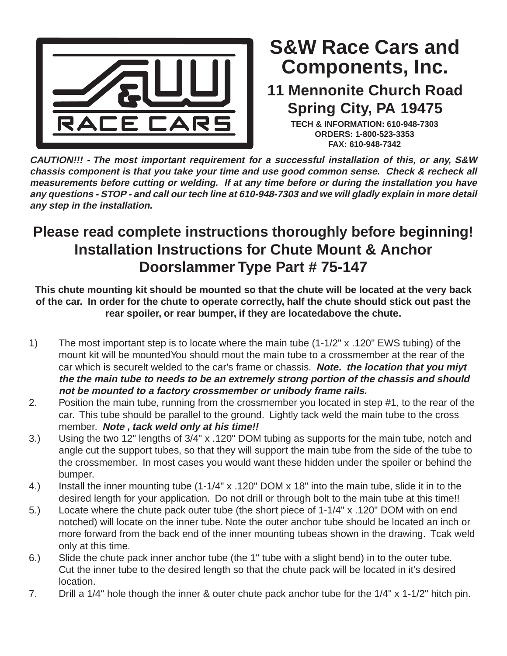

## **Components, Inc. S&W Race Cars and**

## **11 Mennonite Church Road Spring City, PA 19475**

**TECH & INFORMATION: 610-948-7303 ORDERS: 1-800-523-3353 FAX: 610-948-7342**

**CAUTION!!! - The most important requirement for a successful installation of this, or any, S&W chassis component is that you take your time and use good common sense. Check & recheck all measurements before cutting or welding. If at any time before or during the installation you have any questions - STOP - and call our tech line at 610-948-7303 and we will gladly explain in more detail any step in the installation.**

## **Please read complete instructions thoroughly before beginning! Installation Instructions for Chute Mount & Anchor Doorslammer Type Part # 75-147**

**This chute mounting kit should be mounted so that the chute will be located at the very back of the car. In order for the chute to operate correctly, half the chute should stick out past the rear spoiler, or rear bumper, if they are locatedabove the chute.**

- 1) The most important step is to locate where the main tube (1-1/2" x .120" EWS tubing) of the mount kit will be mountedYou should mout the main tube to a crossmember at the rear of the car which is securelt welded to the car's frame or chassis. **Note. the location that you miyt the the main tube to needs to be an extremely strong portion of the chassis and should not be mounted to a factory crossmember or unibody frame rails.**
- 2. Position the main tube, running from the crossmember you located in step #1, to the rear of the car. This tube should be parallel to the ground. Lightly tack weld the main tube to the cross member. **Note , tack weld only at his time!!**
- 3.) Using the two 12" lengths of 3/4" x .120" DOM tubing as supports for the main tube, notch and angle cut the support tubes, so that they will support the main tube from the side of the tube to the crossmember. In most cases you would want these hidden under the spoiler or behind the bumper.
- 4.) Install the inner mounting tube (1-1/4" x .120" DOM x 18" into the main tube, slide it in to the desired length for your application. Do not drill or through bolt to the main tube at this time!!
- 5.) Locate where the chute pack outer tube (the short piece of 1-1/4" x .120" DOM with on end notched) will locate on the inner tube. Note the outer anchor tube should be located an inch or more forward from the back end of the inner mounting tubeas shown in the drawing. Tcak weld only at this time.
- 6.) Slide the chute pack inner anchor tube (the 1" tube with a slight bend) in to the outer tube. Cut the inner tube to the desired length so that the chute pack will be located in it's desired location.
- 7. Drill a 1/4" hole though the inner & outer chute pack anchor tube for the 1/4" x 1-1/2" hitch pin.